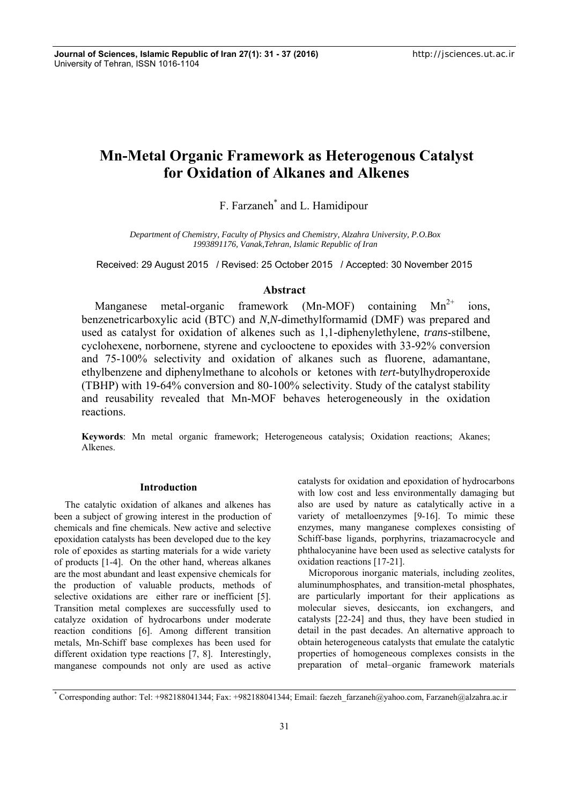# **Mn-Metal Organic Framework as Heterogenous Catalyst for Oxidation of Alkanes and Alkenes**

F. Farzaneh\* and L. Hamidipour

*Department of Chemistry, Faculty of Physics and Chemistry, Alzahra University, P.O.Box 1993891176, Vanak,Tehran, Islamic Republic of Iran* 

Received: 29 August 2015 / Revised: 25 October 2015 / Accepted: 30 November 2015

# **Abstract**

Manganese metal-organic framework (Mn-MOF) containing  $Mn^{2+}$  ions, benzenetricarboxylic acid (BTC) and *N*,*N*-dimethylformamid (DMF) was prepared and used as catalyst for oxidation of alkenes such as 1,1-diphenylethylene, *trans*-stilbene, cyclohexene, norbornene, styrene and cyclooctene to epoxides with 33-92% conversion and 75-100% selectivity and oxidation of alkanes such as fluorene, adamantane, ethylbenzene and diphenylmethane to alcohols or ketones with *tert-*butylhydroperoxide (TBHP) with 19-64% conversion and 80-100% selectivity. Study of the catalyst stability and reusability revealed that Mn-MOF behaves heterogeneously in the oxidation reactions.

**Keywords**: Mn metal organic framework; Heterogeneous catalysis; Oxidation reactions; Akanes; Alkenes.

## **Introduction**

The catalytic oxidation of alkanes and alkenes has been a subject of growing interest in the production of chemicals and fine chemicals. New active and selective epoxidation catalysts has been developed due to the key role of epoxides as starting materials for a wide variety of products [1-4]. On the other hand, whereas alkanes are the most abundant and least expensive chemicals for the production of valuable products, methods of selective oxidations are either rare or inefficient [5]. Transition metal complexes are successfully used to catalyze oxidation of hydrocarbons under moderate reaction conditions [6]. Among different transition metals, Mn-Schiff base complexes has been used for different oxidation type reactions [7, 8]. Interestingly, manganese compounds not only are used as active catalysts for oxidation and epoxidation of hydrocarbons with low cost and less environmentally damaging but also are used by nature as catalytically active in a variety of metalloenzymes [9-16]. To mimic these enzymes, many manganese complexes consisting of Schiff-base ligands, porphyrins, triazamacrocycle and phthalocyanine have been used as selective catalysts for oxidation reactions [17-21].

Microporous inorganic materials, including zeolites, aluminumphosphates, and transition-metal phosphates, are particularly important for their applications as molecular sieves, desiccants, ion exchangers, and catalysts [22-24] and thus, they have been studied in detail in the past decades. An alternative approach to obtain heterogeneous catalysts that emulate the catalytic properties of homogeneous complexes consists in the preparation of metal–organic framework materials

<sup>\*</sup> Corresponding author: Tel: +982188041344; Fax: +982188041344; Email: faezeh farzaneh@yahoo.com, Farzaneh@alzahra.ac.ir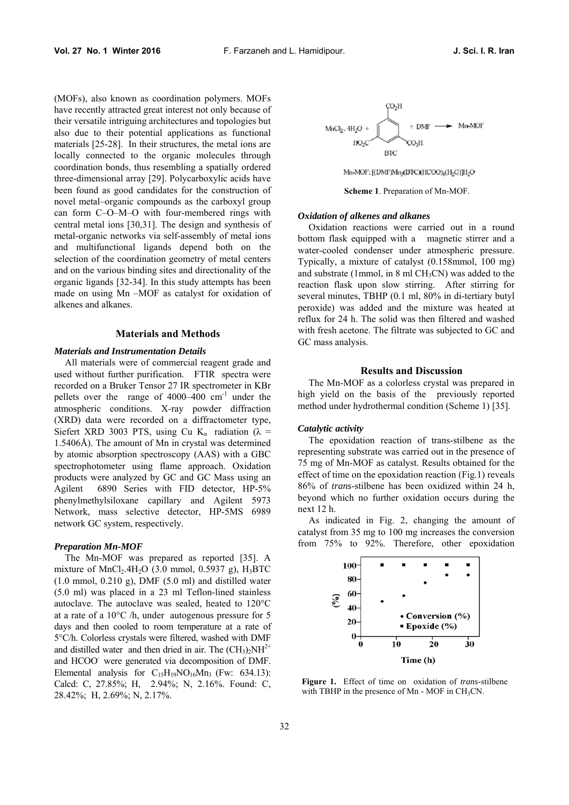(MOFs), also known as coordination polymers. MOFs have recently attracted great interest not only because of their versatile intriguing architectures and topologies but also due to their potential applications as functional materials [25-28]. In their structures, the metal ions are locally connected to the organic molecules through coordination bonds, thus resembling a spatially ordered three-dimensional array [29]. Polycarboxylic acids have been found as good candidates for the construction of novel metal–organic compounds as the carboxyl group can form C–O–M–O with four-membered rings with central metal ions [30,31]. The design and synthesis of metal-organic networks via self-assembly of metal ions and multifunctional ligands depend both on the selection of the coordination geometry of metal centers and on the various binding sites and directionality of the organic ligands [32-34]. In this study attempts has been made on using Mn –MOF as catalyst for oxidation of alkenes and alkanes.

## **Materials and Methods**

## *Materials and Instrumentation Details*

All materials were of commercial reagent grade and used without further purification. FTIR spectra were recorded on a Bruker Tensor 27 IR spectrometer in KBr pellets over the range of 4000–400 cm<sup>-1</sup> under the atmospheric conditions. X-ray powder diffraction (XRD) data were recorded on a diffractometer type, Siefert XRD 3003 PTS, using Cu K<sub>a</sub> radiation ( $\lambda$  = 1.5406Å). The amount of Mn in crystal was determined by atomic absorption spectroscopy (AAS) with a GBC spectrophotometer using flame approach. Oxidation products were analyzed by GC and GC Mass using an Agilent 6890 Series with FID detector, HP-5% phenylmethylsiloxane capillary and Agilent 5973 Network, mass selective detector, HP-5MS 6989 network GC system, respectively.

#### *Preparation Mn-MOF*

The Mn-MOF was prepared as reported [35]. A mixture of  $MnCl<sub>2</sub>4H<sub>2</sub>O$  (3.0 mmol, 0.5937 g), H<sub>3</sub>BTC  $(1.0 \text{ mmol}, 0.210 \text{ g})$ , DMF  $(5.0 \text{ ml})$  and distilled water (5.0 ml) was placed in a 23 ml Teflon-lined stainless autoclave. The autoclave was sealed, heated to 120°C at a rate of a 10°C /h, under autogenous pressure for 5 days and then cooled to room temperature at a rate of 5°C/h. Colorless crystals were filtered, washed with DMF and distilled water and then dried in air. The  $(CH_3)_2NH^{2+}$ and HCOO- were generated via decomposition of DMF. Elemental analysis for  $C_{15}H_{19}NO_{16}Mn_3$  (Fw: 634.13): Calcd: C, 27.85%; H, 2.94%; N, 2.16%. Found: C, 28.42%; H, 2.69%; N, 2.17%.



Mn-MOF: [(DMF)Mn<sub>3</sub>(BTC)(HCOO)<sub>4</sub>(H<sub>2</sub>O)]H<sub>2</sub>O

**Scheme 1**. Preparation of Mn-MOF.

### *Oxidation of alkenes and alkanes*

Oxidation reactions were carried out in a round bottom flask equipped with a magnetic stirrer and a water-cooled condenser under atmospheric pressure. Typically, a mixture of catalyst (0.158mmol, 100 mg) and substrate (1mmol, in 8 ml  $CH<sub>3</sub>CN$ ) was added to the reaction flask upon slow stirring. After stirring for several minutes, TBHP (0.1 ml, 80% in di-tertiary butyl peroxide) was added and the mixture was heated at reflux for 24 h. The solid was then filtered and washed with fresh acetone. The filtrate was subjected to GC and GC mass analysis.

## **Results and Discussion**

The Mn-MOF as a colorless crystal was prepared in high yield on the basis of the previously reported method under hydrothermal condition (Scheme 1) [35].

#### *Catalytic activity*

The epoxidation reaction of trans-stilbene as the representing substrate was carried out in the presence of 75 mg of Mn-MOF as catalyst. Results obtained for the effect of time on the epoxidation reaction (Fig.1) reveals 86% of *trans*-stilbene has been oxidized within 24 h, beyond which no further oxidation occurs during the next 12 h.

As indicated in Fig. 2, changing the amount of catalyst from 35 mg to 100 mg increases the conversion from 75% to 92%. Therefore, other epoxidation



**Figure 1.** Effect of time on oxidation of *trans*-stilbene with TBHP in the presence of Mn - MOF in  $CH<sub>3</sub>CN$ .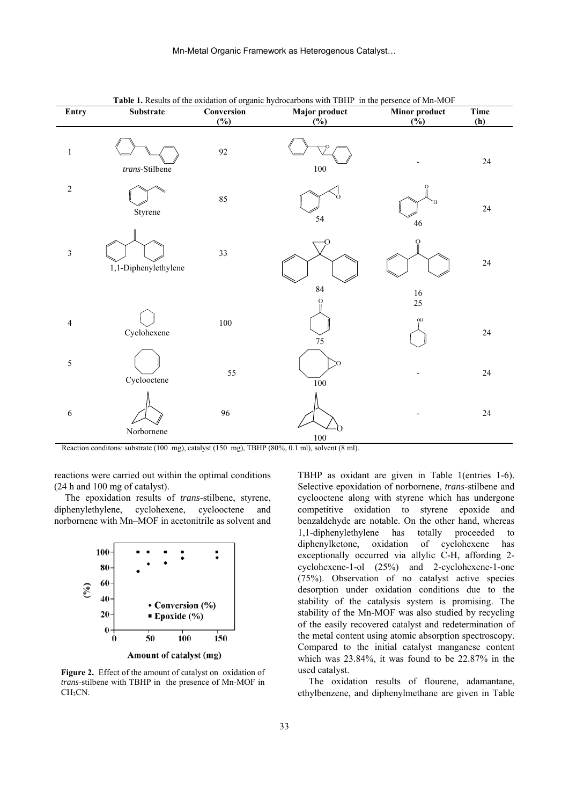| Entry                   | Substrate            | Conversion | <b>Fabic 1.</b> Kesults of the oxidation of organic hydrocarbons with TDTH Theme persence of Mil-MOT<br>Major product | <b>Minor product</b>          | Time   |
|-------------------------|----------------------|------------|-----------------------------------------------------------------------------------------------------------------------|-------------------------------|--------|
|                         |                      | $(\%)$     | $(\%)$                                                                                                                | $(\%)$                        | (h)    |
| $\,1\,$                 | trans-Stilbene       | 92         | $100\,$                                                                                                               |                               | $24\,$ |
| $\sqrt{2}$              | Styrene              | 85         | 54                                                                                                                    | Ή<br>$46\,$                   | $24\,$ |
| $\mathfrak{Z}$          | 1,1-Diphenylethylene | 33         | ∩                                                                                                                     | O                             | $24\,$ |
| $\overline{\mathbf{4}}$ | Cyclohexene          | $100\,$    | 84<br>75                                                                                                              | $16\,$<br>25<br>$\mathrm{OH}$ | $24\,$ |
| 5                       | Cyclooctene          | 55         | $100\,$                                                                                                               |                               | $24\,$ |
| $\sqrt{6}$              | Norbornene           | 96         | $100\,$                                                                                                               |                               | $24\,$ |

**Table 1.** Results of the oxidation of organic hydrocarbons with TBHP in the persence of Mn-MOF

Reaction conditons: substrate (100 mg), catalyst (150 mg), TBHP (80%, 0.1 ml), solvent (8 ml).

reactions were carried out within the optimal conditions (24 h and 100 mg of catalyst).

The epoxidation results of *trans*-stilbene, styrene, diphenylethylene, cyclohexene, cyclooctene and norbornene with Mn–MOF in acetonitrile as solvent and



**Figure 2.** Effect of the amount of catalyst on oxidation of *trans*-stilbene with TBHP in the presence of Mn-MOF in CH<sub>3</sub>CN.

TBHP as oxidant are given in Table 1(entries 1-6). Selective epoxidation of norbornene, *trans-*stilbene and cyclooctene along with styrene which has undergone competitive oxidation to styrene epoxide and benzaldehyde are notable. On the other hand, whereas 1,1-diphenylethylene has totally proceeded to diphenylketone, oxidation of cyclohexene has exceptionally occurred via allylic C-H, affording 2 cyclohexene-1-ol (25%) and 2-cyclohexene-1-one (75%). Observation of no catalyst active species desorption under oxidation conditions due to the stability of the catalysis system is promising. The stability of the Mn-MOF was also studied by recycling of the easily recovered catalyst and redetermination of the metal content using atomic absorption spectroscopy. Compared to the initial catalyst manganese content which was 23.84%, it was found to be 22.87% in the used catalyst.

The oxidation results of flourene, adamantane, ethylbenzene, and diphenylmethane are given in Table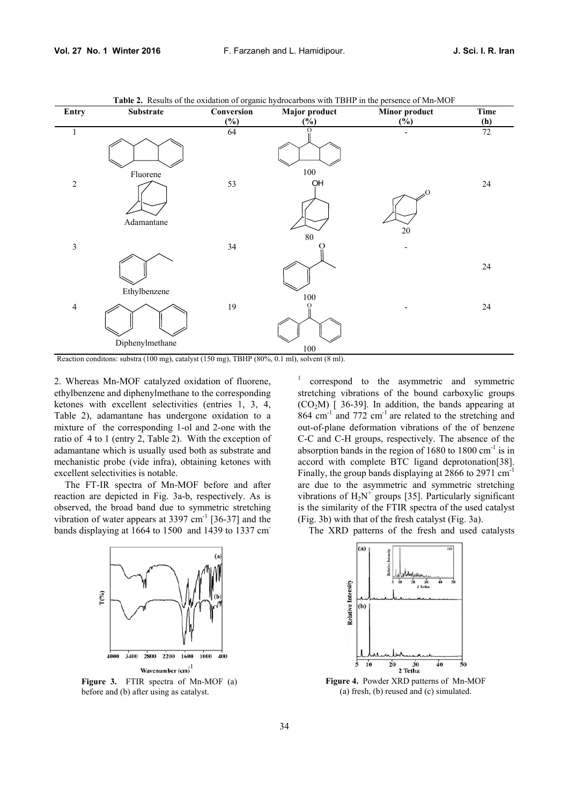

**Table 2.** Results of the oxidation of organic hydrocarbons with TBHP in the persence of Mn-MOF

Reaction conditons: substra (100 mg), catalyst (150 mg), TBHP (80%, 0.1 ml), solvent (8 ml).

2. Whereas Mn-MOF catalyzed oxidation of fluorene, ethylbenzene and diphenylmethane to the corresponding ketones with excellent selectivities (entries 1, 3, 4, Table 2), adamantane has undergone oxidation to a mixture of the corresponding 1-ol and 2-one with the ratio of 4 to 1 (entry 2, Table 2). With the exception of adamantane which is usually used both as substrate and mechanistic probe (vide infra), obtaining ketones with excellent selectivities is notable.

The FT-IR spectra of Mn-MOF before and after reaction are depicted in Fig. 3a-b, respectively. As is observed, the broad band due to symmetric stretching vibration of water appears at  $3397 \text{ cm}^{-1}$  [36-37] and the bands displaying at 1664 to 1500 and 1439 to 1337 cm-



**Figure 3.** FTIR spectra of Mn-MOF (a) before and (b) after using as catalyst.

1 correspond to the asymmetric and symmetric stretching vibrations of the bound carboxylic groups  $(CO<sub>2</sub>M)$  [ 36-39]. In addition, the bands appearing at 864 cm<sup>-1</sup> and 772 cm<sup>-1</sup> are related to the stretching and out-of-plane deformation vibrations of the of benzene C-C and C-H groups, respectively. The absence of the absorption bands in the region of  $1680$  to  $1800 \text{ cm}^{-1}$  is in accord with complete BTC ligand deprotonation[38]. Finally, the group bands displaying at 2866 to 2971 cm<sup>-1</sup> are due to the asymmetric and symmetric stretching vibrations of  $H_2N^+$  groups [35]. Particularly significant is the similarity of the FTIR spectra of the used catalyst (Fig. 3b) with that of the fresh catalyst (Fig. 3a).

The XRD patterns of the fresh and used catalysts



**Figure 4.** Powder XRD patterns of Mn-MOF (a) fresh, (b) reused and (c) simulated.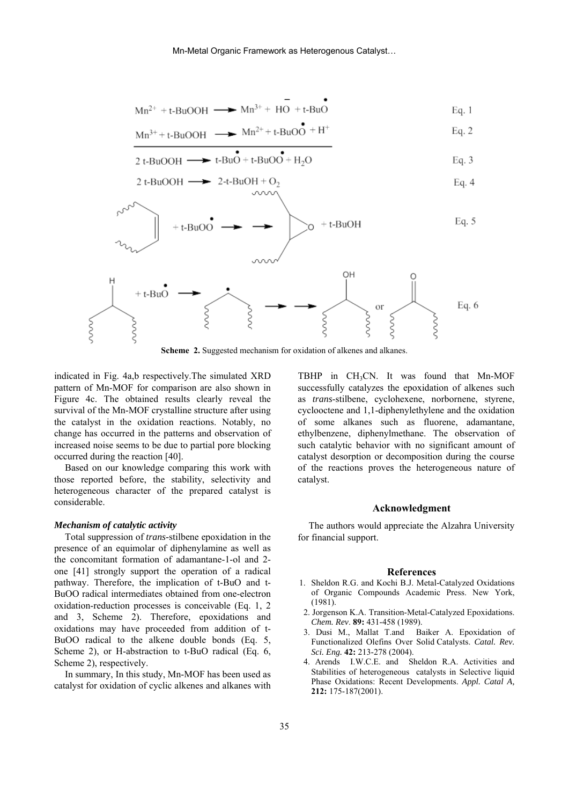$$
Mn^{2+} + t - BuOOH \longrightarrow Mn^{3+} + HO + t - BuO
$$
 Eq. 1

$$
Mn^{3+} + t\text{-BuOOH} \longrightarrow Mn^{2+} + t\text{-BuOO} \overset{\bullet}{\bullet} + H^+ \qquad \qquad Eq. 2
$$

$$
2 t-BuOOH \longrightarrow t-BuO + t-BuOO + H2O
$$
 Eq. 3

2 t-BuOOH 
$$
\longrightarrow
$$
 2-t-BuOH + O<sub>2</sub>  
0.000  $\longrightarrow$  Eq. 4



**Scheme 2.** Suggested mechanism for oxidation of alkenes and alkanes.

indicated in Fig. 4a,b respectively.The simulated XRD pattern of Mn-MOF for comparison are also shown in Figure 4c. The obtained results clearly reveal the survival of the Mn-MOF crystalline structure after using the catalyst in the oxidation reactions. Notably, no change has occurred in the patterns and observation of increased noise seems to be due to partial pore blocking occurred during the reaction [40].

Based on our knowledge comparing this work with those reported before, the stability, selectivity and heterogeneous character of the prepared catalyst is considerable.

#### *Mechanism of catalytic activity*

Total suppression of *trans-*stilbene epoxidation in the presence of an equimolar of diphenylamine as well as the concomitant formation of adamantane-1-ol and 2 one [41] strongly support the operation of a radical pathway. Therefore, the implication of t-BuO and t-BuOO radical intermediates obtained from one-electron oxidation-reduction processes is conceivable (Eq. 1, 2 and 3, Scheme 2). Therefore, epoxidations and oxidations may have proceeded from addition of t-BuOO radical to the alkene double bonds (Eq. 5, Scheme 2), or H-abstraction to t-BuO radical (Eq. 6, Scheme 2), respectively.

In summary, In this study, Mn-MOF has been used as catalyst for oxidation of cyclic alkenes and alkanes with

TBHP in  $CH<sub>3</sub>CN$ . It was found that Mn-MOF successfully catalyzes the epoxidation of alkenes such as *trans*-stilbene, cyclohexene, norbornene, styrene, cyclooctene and 1,1-diphenylethylene and the oxidation of some alkanes such as fluorene, adamantane, ethylbenzene, diphenylmethane. The observation of such catalytic behavior with no significant amount of catalyst desorption or decomposition during the course of the reactions proves the heterogeneous nature of catalyst.

#### **Acknowledgment**

The authors would appreciate the Alzahra University for financial support.

## **References**

- 1. Sheldon R.G. and Kochi B.J. Metal-Catalyzed Oxidations of Organic Compounds Academic Press. New York, (1981).
- 2. Jorgenson K.A. Transition-Metal-Catalyzed Epoxidations. *Chem. Rev*. **89:** 431-458 (1989).
- 3. Dusi M., Mallat T.and Baiker A. Epoxidation of Functionalized Olefins Over Solid Catalysts. *Catal. Rev. Sci. Eng.* **42:** 213-278 (2004).
- 4. Arends I.W.C.E. and Sheldon R.A. Activities and Stabilities of heterogeneous catalysts in Selective liquid Phase Oxidations: Recent Developments. *Appl. Catal A,* **212:** 175-187(2001).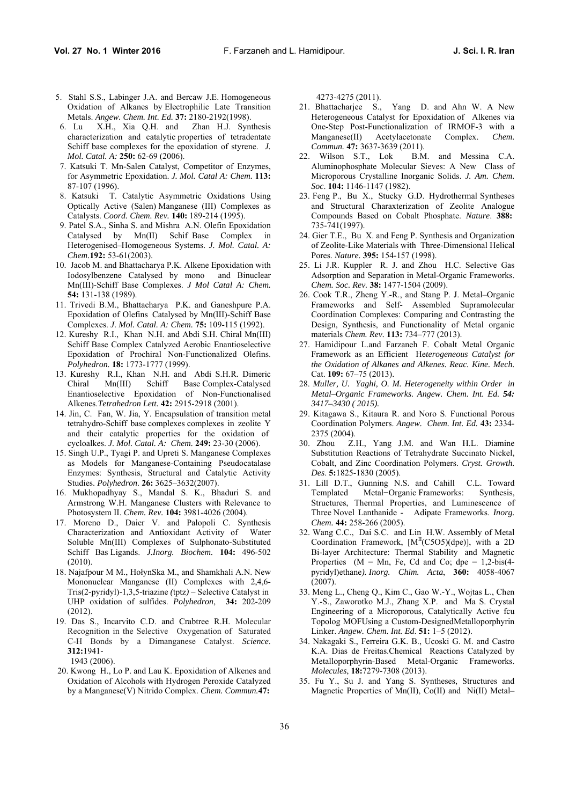- 5. Stahl S.S., Labinger J.A. and Bercaw J.E. Homogeneous Oxidation of Alkanes by Electrophilic Late Transition Metals. *Angew. Chem. Int. Ed.* **37:** 2180-2192(1998).
- 6. Lu X.H., Xia Q.H. and Zhan H.J. Synthesis characterization and catalytic properties of tetradentate Schiff base complexes for the epoxidation of styrene. *J. Mol. Catal. A:* **250:** 62-69 (2006).
- 7. Katsuki T. Mn-Salen Catalyst, Competitor of Enzymes, for Asymmetric Epoxidation. *J. Mol. Catal A: Chem.* **113:** 87-107 (1996).
- 8. Katsuki T. Catalytic Asymmetric Oxidations Using Optically Active (Salen) Manganese (III) Complexes as Catalysts. *Coord. Chem. Rev.* **140:** 189-214 (1995).
- 9. Patel S.A., Sinha S. and Mishra A.N. Olefin Epoxidation Catalysed by Mn(II) Schif Base Complex in Heterogenised–Homogeneous Systems. *J. Mol. Catal. A: Chem.***192:** 53-61(2003).
- 10. Jacob M. and Bhattacharya P.K. Alkene Epoxidation with Iodosylbenzene Catalysed by mono and Binuclear Mn(III)-Schiff Base Complexes. *J Mol Catal A: Chem.*  **54:** 131-138 (1989).
- 11. Trivedi B.M., Bhattacharya P.K. and Ganeshpure P.A. Epoxidation of Olefins Catalysed by Mn(III)-Schiff Base Complexes. *J. Mol. Catal. A: Chem.* **75:** 109-115 (1992).
- 12. Kureshy R.I., Khan N.H. and Abdi S.H. Chiral Mn(III) Schiff Base Complex Catalyzed Aerobic Enantioselective Epoxidation of Prochiral Non-Functionalized Olefins. *Polyhedron.* **18:** 1773-1777 (1999).
- 13. Kureshy R.I., Khan N.H. and Abdi S.H.R. Dimeric Chiral Mn(III) Schiff Base Complex-Catalysed Enantioselective Epoxidation of Non-Functionalised Alkenes.*Tetrahedron Lett.* **42:** 2915-2918 (2001).
- 14. Jin, C. Fan, W. Jia, Y. Encapsulation of transition metal tetrahydro-Schiff base complexes complexes in zeolite Y and their catalytic properties for the oxidation of cycloalkes. *J. Mol. Catal. A: Chem.* **249:** 23-30 (2006).
- 15. Singh U.P., Tyagi P. and Upreti S. Manganese Complexes as Models for Manganese-Containing Pseudocatalase Enzymes: Synthesis, Structural and Catalytic Activity Studies. *Polyhedron*. **26:** 3625–3632(2007).
- 16. Mukhopadhyay S., Mandal S. K., Bhaduri S. and Armstrong W.H. Manganese Clusters with Relevance to Photosystem II. *Chem. Rev.* **104:** 3981-4026 (2004).
- 17. Moreno D., Daier V. and Palopoli C. Synthesis Characterization and Antioxidant Activity of Water Soluble Mn(III) Complexes of Sulphonato-Substituted Schiff Bas Ligands. *J.Inorg. Biochem.* **104:** 496-502 (2010).
- 18. Najafpour M M., HołynSka M., and Shamkhali A.N. New Mononuclear Manganese (II) Complexes with 2,4,6- Tris(2-pyridyl)-1,3,5-triazine *(*tptz*)* – Selective Catalyst in UHP oxidation of sulfides. *Polyhedron*, **34:** 202-209 (2012).
- 19. Das S., Incarvito C.D. and Crabtree R.H. Molecular Recognition in the Selective Oxygenation of Saturated C-H Bonds by a Dimanganese Catalyst. *Science*. **312:**1941- 1943 (2006).
- 20. Kwong H., Lo P. and Lau K. Epoxidation of Alkenes and Oxidation of Alcohols with Hydrogen Peroxide Catalyzed by a Manganese(V) Nitrido Complex. *Chem. Commun.***47:**

4273-4275 (2011).

- 21. Bhattacharjee S., Yang D. and Ahn W. A New Heterogeneous Catalyst for Epoxidation of Alkenes via One-Step Post-Functionalization of IRMOF-3 with a Manganese(II) Acetylacetonate Complex. *Chem. Commun.* **47:** 3637-3639 (2011).<br>22. Wilson S.T., Lok B.M.
- B.M. and Messina C.A. Aluminophosphate Molecular Sieves: A New Class of Microporous Crystalline Inorganic Solids. *J. Am. Chem. Soc*. **104:** 1146-1147 (1982).
- 23. Feng P., Bu X., Stucky G.D. Hydrothermal Syntheses and Structural Charaxterization of Zeolite Analogue Compounds Based on Cobalt Phosphate. *Nature*. **388:** 735-741(1997).
- 24. Gier T.E., Bu X. and Feng P. Synthesis and Organization of Zeolite-Like Materials with Three-Dimensional Helical Pores. *Nature.* **395:** 154-157 (1998).
- 25. Li J.R. Kuppler R. J. and Zhou H.C. Selective Gas Adsorption and Separation in Metal-Organic Frameworks. *Chem. Soc. Rev.* **38:** 1477-1504 (2009).
- 26. Cook T.R., Zheng Y.-R., and Stang P. J. Metal–Organic Frameworks and Self- Assembled Supramolecular Coordination Complexes: Comparing and Contrasting the Design, Synthesis, and Functionality of Metal organic materials *Chem. Rev.* **113:** 734–777 (2013).
- 27. Hamidipour L.and Farzaneh F. Cobalt Metal Organic Framework as an Efficient He*terogeneous Catalyst for the Oxidation of Alkanes and Alkenes. Reac. Kine. Mech.*  Cat. **109:** 67–75 (2013).
- 28. *Muller, U. Yaghi, O. M. Heterogeneity within Order in Metal–Organic Frameworks. Angew. Chem. Int. Ed. 54: 3417–3430 ( 2015).*
- 29. Kitagawa S., Kitaura R. and Noro S. Functional Porous Coordination Polymers. *Angew. Chem. Int. Ed.* **43:** 2334- 2375 (2004).
- 30. Zhou Z.H., Yang J.M. and Wan H.L. Diamine Substitution Reactions of Tetrahydrate Succinato Nickel, Cobalt, and Zinc Coordination Polymers. *Cryst. Growth. Des*. **5:**1825-1830 (2005).
- 31. Lill D.T., Gunning N.S. and Cahill C.L. Toward Templated Metal−Organic Frameworks: Synthesis, Structures, Thermal Properties, and Luminescence of Three Novel Lanthanide - Adipate Frameworks. *Inorg. Chem.* **44:** 258-266 (2005).
- 32. Wang C.C., Dai S.C. and Lin H.W. Assembly of Metal Coordination Framework,  $[M^{II}(C5O5)(dpe)]$ , with a 2D Bi-layer Architecture: Thermal Stability and Magnetic Properties ( $M = Mn$ , Fe, Cd and Co; dpe = 1,2-bis(4pyridyl)ethane*). Inorg. Chim. Acta*, **360:** 4058-4067 (2007).
- 33. Meng L., Cheng Q., Kim C., Gao W.-Y., Wojtas L., Chen Y.-S., Zaworotko M.J., Zhang X.P. and Ma S. Crystal Engineering of a Microporous, Catalytically Active fcu Topolog MOFUsing a Custom-DesignedMetalloporphyrin Linker. *Angew. Chem. Int. Ed*. **51:** 1–5 (2012).
- 34. Nakagaki S., Ferreira G.K. B., Ucoski G. M. and Castro K.A. Dias de Freitas.Chemical Reactions Catalyzed by Metalloporphyrin-Based Metal-Organic Frameworks. *Molecules*, **18:**7279-7308 (2013).
- 35. Fu Y., Su J. and Yang S. Syntheses, Structures and Magnetic Properties of Mn(II), Co(II) and Ni(II) Metal–